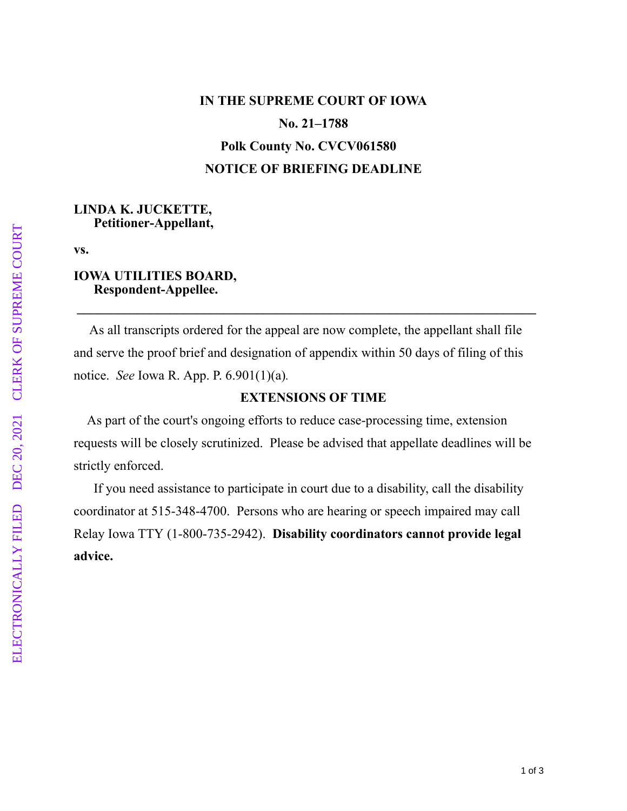# **IN THE SUPREME COURT OF IOWA No. 21–1788 Polk County No. CVCV061580 NOTICE OF BRIEFING DEADLINE**

#### **LINDA K. JUCKETTE, Petitioner-Appellant,**

**vs.**

#### **IOWA UTILITIES BOARD, Respondent-Appellee.**

 As all transcripts ordered for the appeal are now complete, the appellant shall file and serve the proof brief and designation of appendix within 50 days of filing of this notice. *See* Iowa R. App. P. 6.901(1)(a)*.*

 **\_\_\_\_\_\_\_\_\_\_\_\_\_\_\_\_\_\_\_\_\_\_\_\_\_\_\_\_\_\_\_\_\_\_\_\_\_\_\_\_\_\_\_\_\_\_\_\_\_\_\_\_\_\_\_\_\_\_\_\_\_\_\_\_\_\_\_\_\_**

### **EXTENSIONS OF TIME**

As part of the court's ongoing efforts to reduce case-processing time, extension requests will be closely scrutinized. Please be advised that appellate deadlines will be strictly enforced.

 If you need assistance to participate in court due to a disability, call the disability coordinator at 515-348-4700. Persons who are hearing or speech impaired may call Relay Iowa TTY (1-800-735-2942). **Disability coordinators cannot provide legal advice.**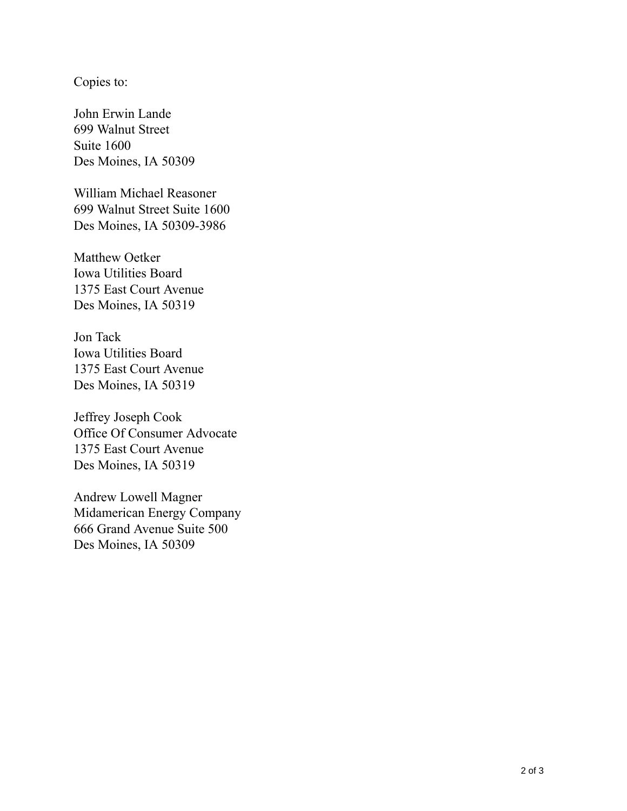Copies to:

John Erwin Lande 699 Walnut Street Suite 1600 Des Moines, IA 50309

William Michael Reasoner 699 Walnut Street Suite 1600 Des Moines, IA 50309-3986

Matthew Oetker Iowa Utilities Board 1375 East Court Avenue Des Moines, IA 50319

Jon Tack Iowa Utilities Board 1375 East Court Avenue Des Moines, IA 50319

Jeffrey Joseph Cook Office Of Consumer Advocate 1375 East Court Avenue Des Moines, IA 50319

Andrew Lowell Magner Midamerican Energy Company 666 Grand Avenue Suite 500 Des Moines, IA 50309